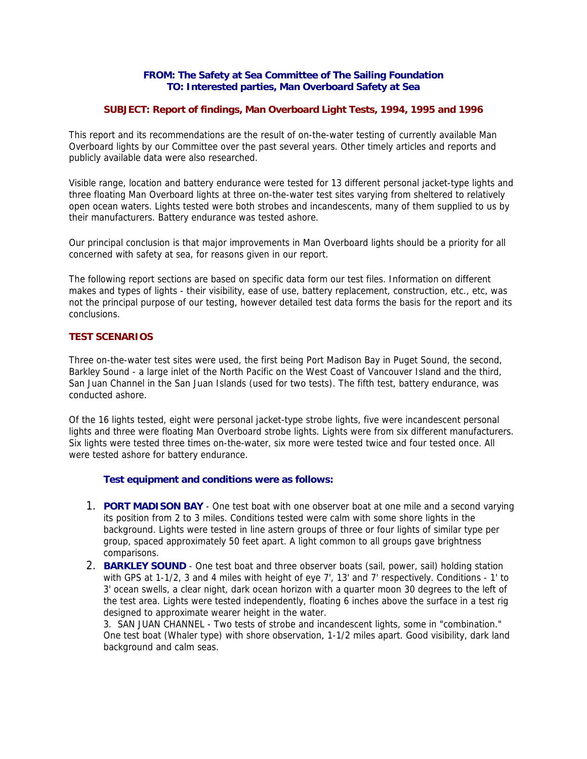### **FROM: The Safety at Sea Committee of The Sailing Foundation TO: Interested parties, Man Overboard Safety at Sea**

## **SUBJECT: Report of findings, Man Overboard Light Tests, 1994, 1995 and 1996**

This report and its recommendations are the result of on-the-water testing of currently available Man Overboard lights by our Committee over the past several years. Other timely articles and reports and publicly available data were also researched.

Visible range, location and battery endurance were tested for 13 different personal jacket-type lights and three floating Man Overboard lights at three on-the-water test sites varying from sheltered to relatively open ocean waters. Lights tested were both strobes and incandescents, many of them supplied to us by their manufacturers. Battery endurance was tested ashore.

Our principal conclusion is that major improvements in Man Overboard lights should be a priority for all concerned with safety at sea, for reasons given in our report.

The following report sections are based on specific data form our test files. Information on different makes and types of lights - their visibility, ease of use, battery replacement, construction, etc., etc, was not the principal purpose of our testing, however detailed test data forms the basis for the report and its conclusions.

# **TEST SCENARIOS**

Three on-the-water test sites were used, the first being Port Madison Bay in Puget Sound, the second, Barkley Sound - a large inlet of the North Pacific on the West Coast of Vancouver Island and the third, San Juan Channel in the San Juan Islands (used for two tests). The fifth test, battery endurance, was conducted ashore.

Of the 16 lights tested, eight were personal jacket-type strobe lights, five were incandescent personal lights and three were floating Man Overboard strobe lights. Lights were from six different manufacturers. Six lights were tested three times on-the-water, six more were tested twice and four tested once. All were tested ashore for battery endurance.

# **Test equipment and conditions were as follows:**

- 1. **PORT MADISON BAY** One test boat with one observer boat at one mile and a second varying its position from 2 to 3 miles. Conditions tested were calm with some shore lights in the background. Lights were tested in line astern groups of three or four lights of similar type per group, spaced approximately 50 feet apart. A light common to all groups gave brightness comparisons.
- 2. **BARKLEY SOUND** One test boat and three observer boats (sail, power, sail) holding station with GPS at 1-1/2, 3 and 4 miles with height of eye 7', 13' and 7' respectively. Conditions - 1' to 3' ocean swells, a clear night, dark ocean horizon with a quarter moon 30 degrees to the left of the test area. Lights were tested independently, floating 6 inches above the surface in a test rig designed to approximate wearer height in the water.

3. SAN JUAN CHANNEL - Two tests of strobe and incandescent lights, some in "combination." One test boat (Whaler type) with shore observation, 1-1/2 miles apart. Good visibility, dark land background and calm seas.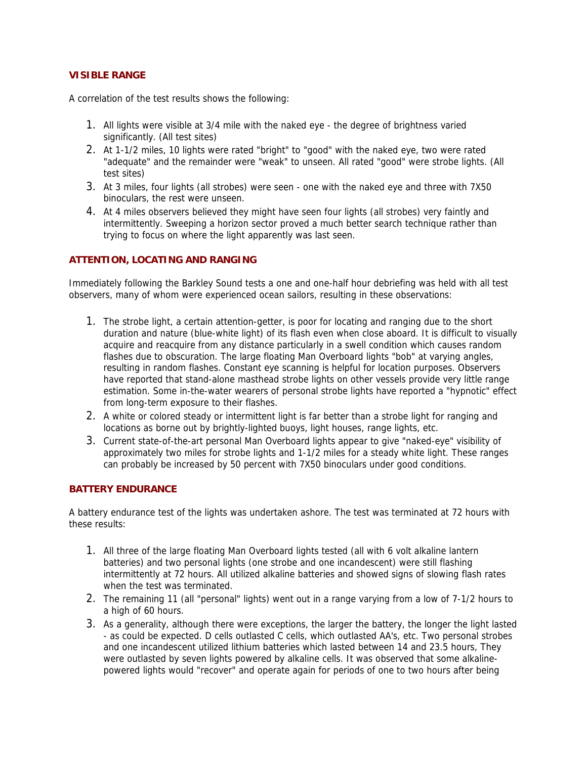# **VISIBLE RANGE**

A correlation of the test results shows the following:

- 1. All lights were visible at 3/4 mile with the naked eye the degree of brightness varied significantly. (All test sites)
- 2. At 1-1/2 miles, 10 lights were rated "bright" to "good" with the naked eye, two were rated "adequate" and the remainder were "weak" to unseen. All rated "good" were strobe lights. (All test sites)
- 3. At 3 miles, four lights (all strobes) were seen one with the naked eye and three with 7X50 binoculars, the rest were unseen.
- 4. At 4 miles observers believed they might have seen four lights (all strobes) very faintly and intermittently. Sweeping a horizon sector proved a much better search technique rather than trying to focus on where the light apparently was last seen.

## **ATTENTION, LOCATING AND RANGING**

Immediately following the Barkley Sound tests a one and one-half hour debriefing was held with all test observers, many of whom were experienced ocean sailors, resulting in these observations:

- 1. The strobe light, a certain attention-getter, is poor for locating and ranging due to the short duration and nature (blue-white light) of its flash even when close aboard. It is difficult to visually acquire and reacquire from any distance particularly in a swell condition which causes random flashes due to obscuration. The large floating Man Overboard lights "bob" at varying angles, resulting in random flashes. Constant eye scanning is helpful for location purposes. Observers have reported that stand-alone masthead strobe lights on other vessels provide very little range estimation. Some in-the-water wearers of personal strobe lights have reported a "hypnotic" effect from long-term exposure to their flashes.
- 2. A white or colored steady or intermittent light is far better than a strobe light for ranging and locations as borne out by brightly-lighted buoys, light houses, range lights, etc.
- 3. Current state-of-the-art personal Man Overboard lights appear to give "naked-eye" visibility of approximately two miles for strobe lights and 1-1/2 miles for a steady white light. These ranges can probably be increased by 50 percent with 7X50 binoculars under good conditions.

### **BATTERY ENDURANCE**

A battery endurance test of the lights was undertaken ashore. The test was terminated at 72 hours with these results:

- 1. All three of the large floating Man Overboard lights tested (all with 6 volt alkaline lantern batteries) and two personal lights (one strobe and one incandescent) were still flashing intermittently at 72 hours. All utilized alkaline batteries and showed signs of slowing flash rates when the test was terminated.
- 2. The remaining 11 (all "personal" lights) went out in a range varying from a low of 7-1/2 hours to a high of 60 hours.
- 3. As a generality, although there were exceptions, the larger the battery, the longer the light lasted - as could be expected. D cells outlasted C cells, which outlasted AA's, etc. Two personal strobes and one incandescent utilized lithium batteries which lasted between 14 and 23.5 hours, They were outlasted by seven lights powered by alkaline cells. It was observed that some alkalinepowered lights would "recover" and operate again for periods of one to two hours after being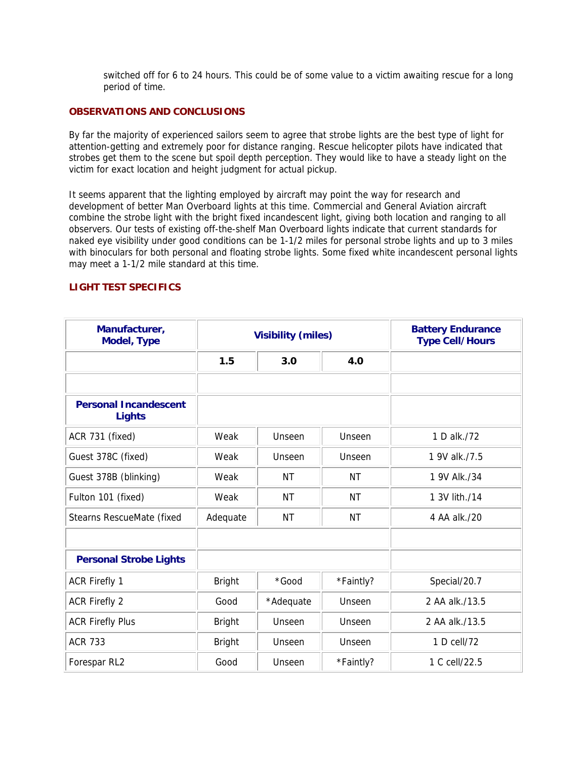switched off for 6 to 24 hours. This could be of some value to a victim awaiting rescue for a long period of time.

### **OBSERVATIONS AND CONCLUSIONS**

By far the majority of experienced sailors seem to agree that strobe lights are the best type of light for attention-getting and extremely poor for distance ranging. Rescue helicopter pilots have indicated that strobes get them to the scene but spoil depth perception. They would like to have a steady light on the victim for exact location and height judgment for actual pickup.

It seems apparent that the lighting employed by aircraft may point the way for research and development of better Man Overboard lights at this time. Commercial and General Aviation aircraft combine the strobe light with the bright fixed incandescent light, giving both location and ranging to all observers. Our tests of existing off-the-shelf Man Overboard lights indicate that current standards for naked eye visibility under good conditions can be 1-1/2 miles for personal strobe lights and up to 3 miles with binoculars for both personal and floating strobe lights. Some fixed white incandescent personal lights may meet a 1-1/2 mile standard at this time.

### **LIGHT TEST SPECIFICS**

| Manufacturer,<br><b>Model, Type</b>           |               | <b>Visibility (miles)</b> | <b>Battery Endurance</b><br><b>Type Cell/Hours</b> |                |
|-----------------------------------------------|---------------|---------------------------|----------------------------------------------------|----------------|
|                                               | 1.5           | 3.0                       | 4.0                                                |                |
|                                               |               |                           |                                                    |                |
| <b>Personal Incandescent</b><br><b>Lights</b> |               |                           |                                                    |                |
| ACR 731 (fixed)                               | Weak          | Unseen                    | Unseen                                             | 1 D alk./72    |
| Guest 378C (fixed)                            | Weak          | Unseen                    | Unseen                                             | 1 9V alk./7.5  |
| Guest 378B (blinking)                         | Weak          | <b>NT</b>                 | ΝT                                                 | 1 9V Alk./34   |
| Fulton 101 (fixed)                            | Weak          | ΝT                        | <b>NT</b>                                          | 1 3V lith./14  |
| <b>Stearns RescueMate (fixed</b>              | Adequate      | <b>NT</b>                 | <b>NT</b>                                          | 4 AA alk./20   |
|                                               |               |                           |                                                    |                |
| <b>Personal Strobe Lights</b>                 |               |                           |                                                    |                |
| <b>ACR Firefly 1</b>                          | <b>Bright</b> | *Good                     | *Faintly?                                          | Special/20.7   |
| <b>ACR Firefly 2</b>                          | Good          | *Adequate                 | Unseen                                             | 2 AA alk./13.5 |
| <b>ACR Firefly Plus</b>                       | <b>Bright</b> | Unseen                    | Unseen                                             | 2 AA alk./13.5 |
| <b>ACR 733</b>                                | <b>Bright</b> | Unseen                    | Unseen                                             | 1 D cell/72    |
| Forespar RL2                                  | Good          | Unseen                    | *Faintly?                                          | 1 C cell/22.5  |